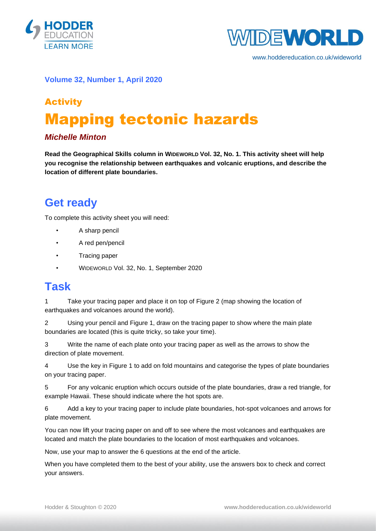



www.hoddereducation.co.uk/wideworld

#### **Volume 32, Number 1, April 2020**

# Activity Mapping tectonic hazards

#### *Michelle Minton*

**Read the Geographical Skills column in WIDEWORLD Vol. 32, No. 1. This activity sheet will help you recognise the relationship between earthquakes and volcanic eruptions, and describe the location of different plate boundaries.**

### **Get ready**

To complete this activity sheet you will need:

- A sharp pencil
- A red pen/pencil
- Tracing paper
- WIDEWORLD Vol. 32, No. 1, September 2020

#### **Task**

1 Take your tracing paper and place it on top of Figure 2 (map showing the location of earthquakes and volcanoes around the world).

2 Using your pencil and Figure 1, draw on the tracing paper to show where the main plate boundaries are located (this is quite tricky, so take your time).

3 Write the name of each plate onto your tracing paper as well as the arrows to show the direction of plate movement.

4 Use the key in Figure 1 to add on fold mountains and categorise the types of plate boundaries on your tracing paper.

5 For any volcanic eruption which occurs outside of the plate boundaries, draw a red triangle, for example Hawaii. These should indicate where the hot spots are.

6 Add a key to your tracing paper to include plate boundaries, hot-spot volcanoes and arrows for plate movement.

You can now lift your tracing paper on and off to see where the most volcanoes and earthquakes are located and match the plate boundaries to the location of most earthquakes and volcanoes.

Now, use your map to answer the 6 questions at the end of the article.

When you have completed them to the best of your ability, use the answers box to check and correct your answers.